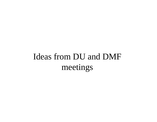# Ideas from DU and DMF meetings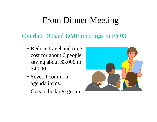## From Dinner Meeting

Overlap DU and DMF meetings in FY03

- + Reduce travel and time cost for about 6 people saving about \$3,000 to \$4,000
- + Several common agenda items.
- Gets to be large group

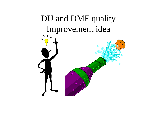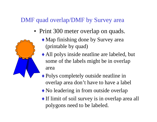- Print 300 meter overlap on quads.
	- ♦Map finishing done by Survey area (printable by quad)
	- ♦All polys inside neatline are labeled, but some of the labels might be in overlap area
	- ♦Polys completely outside neatline in overlap area don't have to have a label
	- ♦No leadering in from outside overlap
	- ♦If limit of soil survey is in overlap area all polygons need to be labeled.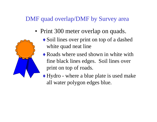- Print 300 meter overlap on quads.
	- Soil lines over print on top of a dashed white quad neat line

• Roads where used shown in white with fine black lines edges. Soil lines over print on top of roads.

♦Hydro - where a blue plate is used make all water polygon edges blue.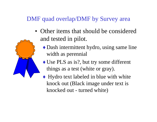- Other items that should be considered and tested in pilot.
	- ♦Dash intermittent hydro, using same line width as perennial
	- ♦Use PLS as is?, but try some different things as a test (white or gray).
	- ♦ Hydro text labeled in blue with white knock out (Black image under text is knocked out - turned white)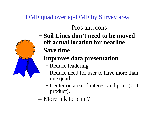#### Pros and cons

- + **Soil Lines don't need to be moved off actual location for neatline**
- + **Save time**
- <sup>+</sup>**Improves data presentation**
	- + Reduce leadering
	- + Reduce need for user to have more than one quad
	- + Center on area of interest and print (CD product).
- More ink to print?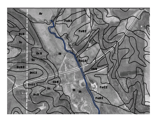